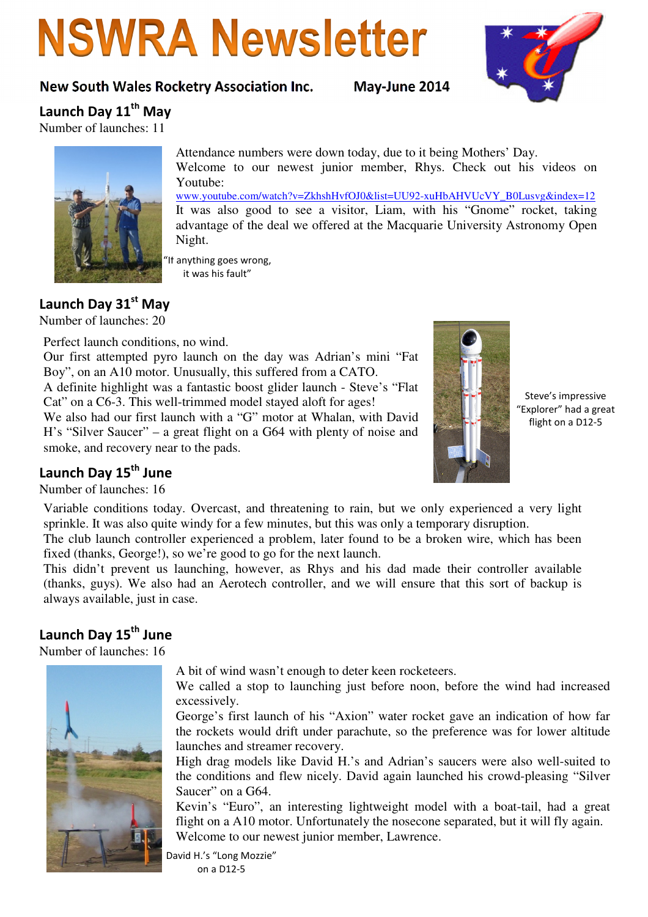# **NSWRA Newsletter**

# New South Wales Rocketry Association Inc. May-June 2014



Launch Day 11<sup>th</sup> May

Number of launches: 11



Attendance numbers were down today, due to it being Mothers' Day. Welcome to our newest junior member, Rhys. Check out his videos on Youtube: www.youtube.com/watch?v=ZkhshHvfOJ0&list=UU92-xuHbAHVUcVY\_B0Lusvg&index=12 It was also good to see a visitor, Liam, with his "Gnome" rocket, taking advantage of the deal we offered at the Macquarie University Astronomy Open

"If anything goes wrong, it was his fault"

Night.

# Launch Day 31st May

Number of launches: 20

Perfect launch conditions, no wind.

Our first attempted pyro launch on the day was Adrian's mini "Fat Boy", on an A10 motor. Unusually, this suffered from a CATO.

A definite highlight was a fantastic boost glider launch - Steve's "Flat Cat" on a C6-3. This well-trimmed model stayed aloft for ages!

We also had our first launch with a "G" motor at Whalan, with David H's "Silver Saucer" – a great flight on a G64 with plenty of noise and smoke, and recovery near to the pads.



Steve's impressive "Explorer" had a great flight on a D12-5

# Launch Day 15<sup>th</sup> June

Number of launches: 16

Variable conditions today. Overcast, and threatening to rain, but we only experienced a very light sprinkle. It was also quite windy for a few minutes, but this was only a temporary disruption.

The club launch controller experienced a problem, later found to be a broken wire, which has been fixed (thanks, George!), so we're good to go for the next launch.

This didn't prevent us launching, however, as Rhys and his dad made their controller available (thanks, guys). We also had an Aerotech controller, and we will ensure that this sort of backup is always available, just in case.

# Launch Day 15<sup>th</sup> June

Number of launches: 16



A bit of wind wasn't enough to deter keen rocketeers.

We called a stop to launching just before noon, before the wind had increased excessively.

George's first launch of his "Axion" water rocket gave an indication of how far the rockets would drift under parachute, so the preference was for lower altitude launches and streamer recovery.

High drag models like David H.'s and Adrian's saucers were also well-suited to the conditions and flew nicely. David again launched his crowd-pleasing "Silver Saucer" on a G64.

Kevin's "Euro", an interesting lightweight model with a boat-tail, had a great flight on a A10 motor. Unfortunately the nosecone separated, but it will fly again. Welcome to our newest junior member, Lawrence.

David H.'s "Long Mozzie"

on a D12-5